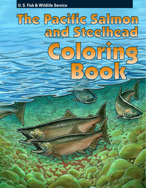#### **U. S. Fish & Wildlife Service**

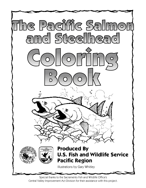

Special thanks to the Sacramento Fish and Wildlife Office's Central Valley Improvement Act Division for their assistance with this project.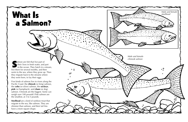

almon are fish that live part of their lives in fresh water, and in the ocean. They hatch in a their lives in fresh water, and part in the ocean. They hatch in a stream, live there for several months, and then swim to the sea, where they grow up. Then they migrate back to the streams where they were born, to lay their eggs.

Five kinds of salmon live in rivers along the Pacific Coast: the **chinook** (or king) salmon, the **coho** (or silver) salmon, the **sockeye** , **pink** (or humpback), and **chum** (or dog) salmon. Chinook are the biggest. Some can weigh over 100 pounds! Pink salmon are the smallest, at  $3$  to 5 pounds.

۰ο

oº

## a Salmon? What Is

**Steelhead** are a kind of rainbow trout that migrate to the sea, like salmon. They are slimmer than salmon, and their tail fins have a more square shape.

Male and female chinook salmon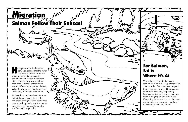Salmon Follow Their Senses!

H **All ave you ever visited another**  city, and noticed that the water there tastes different from the water at home? Salmon can tell the difference between water from different places too! Young salmon memorize the smell of their home stream before they migrate to the sea. When they are ready to return to fresh water, they follow the smell home.

**Migration** 

As the salmon migrate from the ocean to their home streams, their color and shape changes. Males get hooked jaws with sharp teeth. In some species, their backs get humps. Both males and females change color.

For Salmon, Fat is Where It's At

When they're living in the ocean, salmon eat a lot to store up plenty of fat. This fat is the "fuel" they need to get to their spawning grounds. Once salmon enter freshwater, they stop eating. So a salmon is a lot like a car that must make a long trip on one tank of gas. If anything delays the salmon, they may use up their fuel too soon — and not have enough to make it home.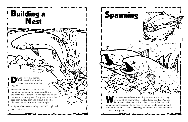

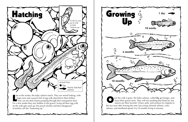

For a few weeks they stay hidden in the gravel, living off their egg yolk. As the yolk gets used up, the pouch shrinks and then disappears. Scientists call this "buttoning up."

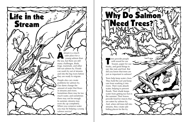

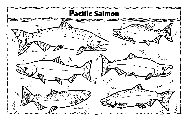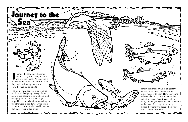In spring, the salmon fry become<br>restless. They turn silvery in col<br>and lose their spots. As snow m restless. They turn silvery in color and lose their spots. As snow melts in the mountains and streams run faster, they begin swimming to the sea. Now they are called **smolts.**

 $\circ \circ^{\circ}_{\circ} \circ_{\circ}$ 

o  $\ddot{\phantom{a}}$ 

ိ

ő

Journey to the

AWANNAN

6

The journey is a dangerous one. Some smolts are killed going through dams. Many more become dizzy and confused easy prey for predators such as gulls, striped bass, and pikeminnows waiting on the other side of the dams. Other smolts get sucked out of the river and into canals that carry water to our crops.



Finally the smolts arrive in an **estuary,** where a river meets the sea and salt water mixes with fresh. Here, the young salmon adapt to salt water before they enter the ocean. Estuaries are rich in food, and the young salmon eat as much as they can. The bigger they can get before they enter the ocean, the better their chances of survival.

Sea

{www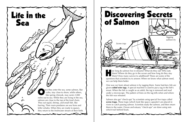of Salmon





ow long do salmon live in streams? What do they eat? Who eats them? Where do they go in the ocean and how long do they stay there? How many survive to adulthood? These are some of the questions that scientists try to answer. When we know what salmon need, we can help them better. H

One way we learn about salmon is by tagging them. Some hatchery fish are given **coded wire tags.** A special machine is used to put a tag in the fish's snout. When the fish is caught as an adult, the tag is removed and read under a microscope. The pattern of lines on the tag tells when and where the fish was released.

Salmon also get "check-ups" by scientists using special live traps called **screw traps.** These traps (which look like space capsules!) are placed in rivers to catch passing salmon. Scientists study the salmon, and then return them to the water. Ocean and estuary "check-ups" are done using nets which trail behind boats.

Screw trap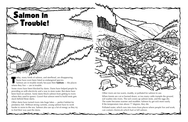

Some rivers have been blocked by dams. Dams have helped people by providing us with electricity and a way to store water. But dams have been hard on salmon. Some dams block salmon from getting to rivers where they used to spawn. Gravel that salmon need to build nests gets stuck behind these dams.

Other dams have turned rivers into huge lakes — perfect habitat for predatory fish. Without strong currents, young salmon have to work harder to swim to the sea. Salmon also use up a lot of energy as they try to find their way past the dams.

 Some have even been listed as endangered species. Salmon are in trouble mostly because their **habitats** — the places where they live — are in trouble. T

> Other rivers are too warm, muddy, or polluted for salmon to use. When forests are cut or burned down, or too many cattle trample the ground, soil washes into rivers. The soil covers up salmon nests, and the eggs die. The water becomes warmer and muddier. Salmon fry get sick more easily. If the temperature rises above 77 degrees, they die. Polluted water, which runs into rivers from places where people live and work, can contain chemicals which hurt or kill salmon.

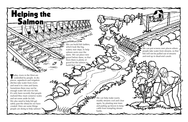WANT We can help make warm, muddy streams cool and clear again, by planting new trees and putting up fences to keep cattle from trampling stream banks.

We can put screens over places where people take water from streams, so that fish will not be pulled out of streams and end up in dead-end canals.

Helping the

We can build fish ladders, which look like big, watery stair steps, to help salmon swim over the dams. We can place new gravel below dams, so that there there is plenty of gravel for the salmon to build their nests.

 $\blacksquare$  oday, rivers in the West are controlled by people. In dry places, aqueducts and irrigation ditches take water from rivers and send it to cities and farms. Sometimes there may not be enough water left over for fish. It's only been recently that people realized they must conserve water, and set some aside for fish. We also need to help fish get safely past the obstacles we have created. Here are some things people are doing to help salmon!

**Salmon**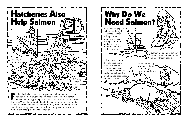Why Do We Need Salmon?



Salmon are part of a healthy ecosystem. Many animals eat salmon: bears, eagles, sea lions, killer whales, and more. When salmon numbers decrease, these animals do also. www.mathylythe

Some people depend on salmon for their jobs: commercial fishers; fishing guides; people who make fishing gear and boats; and people who work in canneries and fish markets.

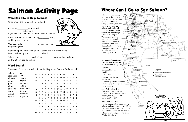# Salmon Activity Page

### What Can I Do to Help Salmon?

Unscramble the words in ( ) to find out!

Conserve (ertwa) and \_\_\_\_\_\_\_\_\_\_\_\_ (celeyticirt). If you use less, there will be more water for salmon.

Volunteer to help (trerose) streams by planting trees.

Don't dump oil, antifreeze, or other chemicals into street drains. Many drains empty into \_\_\_\_\_\_\_\_\_(siverr)!

Recycle and reuse paper. Saving \_\_\_\_\_\_\_\_\_ (seret) will help save salmon.

Talk to your \_\_\_\_\_\_\_\_\_\_\_(endsfri) and \_\_\_\_\_\_\_\_ (rentspa) about salmon and what they can do to help.

#### Word Search

There are 20 "salmon words" hidden in this puzzle. Can you find them all?

| salmon    | fry        | M        | $\mathbf{Y}$ | E            | T              | Y             | $M$ F        |                | <sub>S</sub> | $H$ O        |             | L Z          |               | $\mathbf N$  | $\mathbf C$   |  |
|-----------|------------|----------|--------------|--------------|----------------|---------------|--------------|----------------|--------------|--------------|-------------|--------------|---------------|--------------|---------------|--|
| steelhead | smolts     |          |              |              |                |               |              |                |              |              |             |              |               |              |               |  |
| chinook   | estuary    | N        | E            | $\mathbf R$  | $\overline{O}$ | $\mathbf{A}$  | S.           |                | A L          | M O          |             | $\mathbf N$  | G             | $\mathbf{F}$ | E             |  |
| coho      | habitat    | $\Omega$ | L            | $\Omega$     | A              | M             | $\mathbf T$  | $\mathbf{I}$   | $\mathbf R$  | S            | W           | $\Omega$     | H             | $\Omega$     | $\mathcal{C}$ |  |
| pink      | hatchery   |          | E            | T            | S              | $\mathbf U$   | K            | $\mathbf I$    | E            | P            | N           | E            | A             | $\Omega$     | S             |  |
| chum      | restore    |          | T            | S            | N              | H             | T            | Y              | B            | $\Omega$     | D           | P            | T             | D            | Y             |  |
| sockeye   | food chain | A        | L            | E            | E              | $\mathcal{C}$ | E            | S              | $\bf K$      | $\mathbf{A}$ | S           | $\mathbf{V}$ | $\mathcal{C}$ | C            | G             |  |
| snout     | life cycle | R.       | $\mathbf{F}$ | R            | $\mathbf{L}$   | $\bf{K}$      | M            | $\overline{O}$ | E            | T            | H           | A            | H             | H            | Y             |  |
| gravel    | predators  | G        | T            | R            | $\mathbf C$    | J             | $\mathbf{A}$ | H              | M            | B            | U           | $\bf{I}$     | E             | A            | $\mathbf{L}$  |  |
| spawn     | migration  |          | E            | O            | Y              | W             | L            | S              | E            | Z            | $\mathbf N$ | $\Omega$     | R             | $\mathbf I$  | $\mathbf R$   |  |
|           |            | M        | S.           |              | A C            | E             | S.           | T              | $\mathbf{L}$ | $\Omega$     | M           | S            | Y             | $\mathbf N$  | T             |  |
|           |            | S        | P            | $\mathbf{R}$ | E              | D             | A            | T              | $\Omega$     | $\mathbf R$  | S           | E            | H             | U            | K             |  |
|           |            |          | N            | T            | $\mathbf F$    | W             | O            | $\bf K$        | S            | W            | M           | D            | $\Omega$      | K            | - N           |  |
|           |            | F        | S            | H            | $\mathbf{I}$   | $\bf K$       | S            | $\mathbf{P}$   | $\mathbf{A}$ | W            | $\mathbf N$ | N            | A             | - G          | $\mathbf I$   |  |
|           |            | W        | S            |              |                | E             | V            | A              | R            | G            | S           | U            |               | W            | P             |  |



### Where Can I Go to See Salmon?

Winchester

∎cole M. ©

密

from Gate  $\frac{1}{2}$ 

⊜

Mad River

Salmon may be coming to a river or fish hatchery near you! Here are some places in California, Oregon, Washington, and Idaho where you can see salmon and steelhead. The best months to see salmon are July through October in Oregon, Washington, and Idaho; and October through February in California. Steelhead arrive later, December through March. Exact dates may vary, so call ahead before planning your visit.

**For more information on National Fish Hatcheries and salmon viewing, call:**

**California:** Coleman National Fish Hatchery 530/365-8622

**Oregon, Washington, and Idaho:**

Outreach Specialist, Fisheries U.S. Fish and Wildlife Service 503/231-6874

**State Fish Hatcheries:** California: 916/653-6194 Oregon: 503/872-5252 x.2112 Washington: 360/902-2661 Idaho: 208/334-3791

#### **Visit Us on the Web!**

For more information about seeing salmon and other fish and wildlife in the Pacific Region, visit the U. S. Fish and Wildlife Service on the Web at **http:/www.r1.fws.gov** and click on "Visitor Directory."